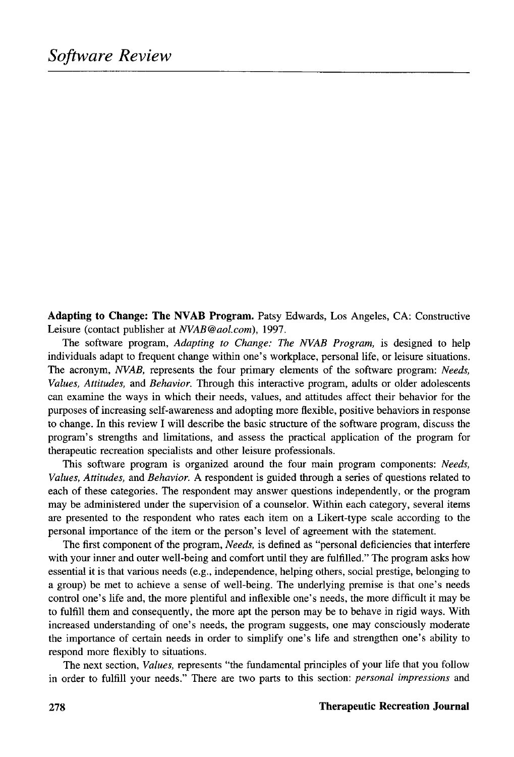**Adapting to Change: The NVAB Program.** Patsy Edwards, Los Angeles, CA: Constructive Leisure (contact publisher at *NVAB@aol.com),* 1997.

The software program, *Adapting to Change: The NVAB Program,* is designed to help individuals adapt to frequent change within one's workplace, personal life, or leisure situations. The acronym, *NVAB,* represents the four primary elements of the software program: *Needs, Values, Attitudes,* and *Behavior.* Through this interactive program, adults or older adolescents can examine the ways in which their needs, values, and attitudes affect their behavior for the purposes of increasing self-awareness and adopting more flexible, positive behaviors in response to change. In this review I will describe the basic structure of the software program, discuss the program's strengths and limitations, and assess the practical application of the program for therapeutic recreation specialists and other leisure professionals.

This software program is organized around the four main program components: *Needs, Values, Attitudes,* and *Behavior.* A respondent is guided through a series of questions related to each of these categories. The respondent may answer questions independently, or the program may be administered under the supervision of a counselor. Within each category, several items are presented to the respondent who rates each item on a Likert-type scale according to the personal importance of the item or the person's level of agreement with the statement.

The first component of the program, *Needs,* is defined as "personal deficiencies that interfere with your inner and outer well-being and comfort until they are fulfilled." The program asks how essential it is that various needs (e.g., independence, helping others, social prestige, belonging to a group) be met to achieve a sense of well-being. The underlying premise is that one's needs control one's life and, the more plentiful and inflexible one's needs, the more difficult it may be to fulfill them and consequently, the more apt the person may be to behave in rigid ways. With increased understanding of one's needs, the program suggests, one may consciously moderate the importance of certain needs in order to simplify one's life and strengthen one's ability to respond more flexibly to situations.

The next section, *Values,* represents "the fundamental principles of your life that you follow in order to fulfill your needs." There are two parts to this section: *personal impressions* and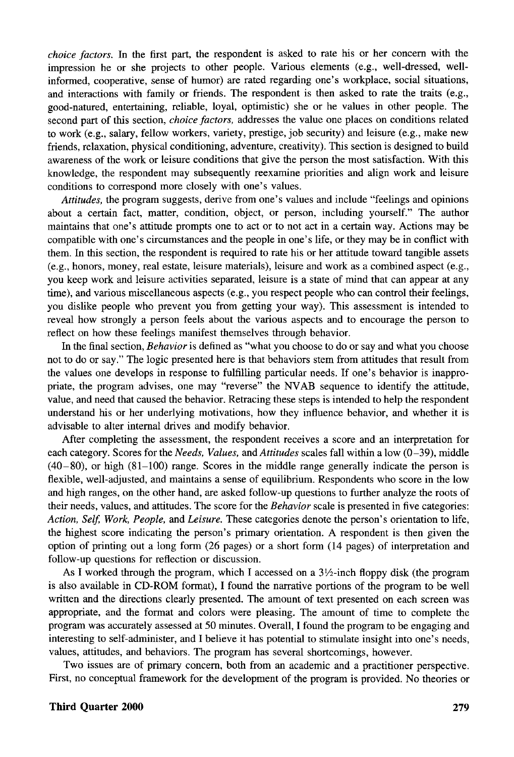*choice factors.* In the first part, the respondent is asked to rate his or her concern with the impression he or she projects to other people. Various elements (e.g., well-dressed, wellinformed, cooperative, sense of humor) are rated regarding one's workplace, social situations, and interactions with family or friends. The respondent is then asked to rate the traits (e.g., good-natured, entertaining, reliable, loyal, optimistic) she or he values in other people. The second part of this section, *choice factors,* addresses the value one places on conditions related to work (e.g., salary, fellow workers, variety, prestige, job security) and leisure (e.g., make new friends, relaxation, physical conditioning, adventure, creativity). This section is designed to build awareness of the work or leisure conditions that give the person the most satisfaction. With this knowledge, the respondent may subsequently reexamine priorities and align work and leisure conditions to correspond more closely with one's values.

*Attitudes,* the program suggests, derive from one's values and include "feelings and opinions about a certain fact, matter, condition, object, or person, including yourself." The author maintains that one's attitude prompts one to act or to not act in a certain way. Actions may be compatible with one's circumstances and the people in one's life, or they may be in conflict with them. In this section, the respondent is required to rate his or her attitude toward tangible assets (e.g., honors, money, real estate, leisure materials), leisure and work as a combined aspect (e.g., you keep work and leisure activities separated, leisure is a state of mind that can appear at any time), and various miscellaneous aspects (e.g., you respect people who can control their feelings, you dislike people who prevent you from getting your way). This assessment is intended to reveal how strongly a person feels about the various aspects and to encourage the person to reflect on how these feelings manifest themselves through behavior.

In the final section, *Behavior* is defined as "what you choose to do or say and what you choose not to do or say." The logic presented here is that behaviors stem from attitudes that result from the values one develops in response to fulfilling particular needs. If one's behavior is inappropriate, the program advises, one may "reverse" the NVAB sequence to identify the attitude, value, and need that caused the behavior. Retracing these steps is intended to help the respondent understand his or her underlying motivations, how they influence behavior, and whether it is advisable to alter internal drives and modify behavior.

After completing the assessment, the respondent receives a score and an interpretation for each category. Scores for the *Needs, Values,* and *Attitudes* scales fall within a low (0-39), middle (40-80), or high (81-100) range. Scores in the middle range generally indicate the person is flexible, well-adjusted, and maintains a sense of equilibrium. Respondents who score in the low and high ranges, on the other hand, are asked follow-up questions to further analyze the roots of their needs, values, and attitudes. The score for the *Behavior* scale is presented in five categories: *Action, Self, Work, People,* and *Leisure.* These categories denote the person's orientation to life, the highest score indicating the person's primary orientation. A respondent is then given the option of printing out a long form (26 pages) or a short form (14 pages) of interpretation and follow-up questions for reflection or discussion.

As I worked through the program, which I accessed on a  $3\frac{1}{2}$ -inch floppy disk (the program is also available in CD-ROM format), I found the narrative portions of the program to be well written and the directions clearly presented. The amount of text presented on each screen was appropriate, and the format and colors were pleasing. The amount of time to complete the program was accurately assessed at 50 minutes. Overall, I found the program to be engaging and interesting to self-administer, and I believe it has potential to stimulate insight into one's needs, values, attitudes, and behaviors. The program has several shortcomings, however.

Two issues are of primary concern, both from an academic and a practitioner perspective. First, no conceptual framework for the development of the program is provided. No theories or